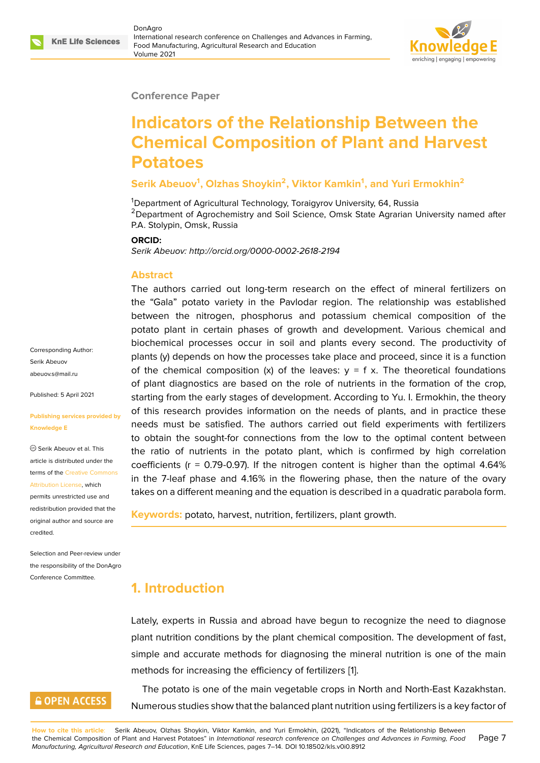#### **Conference Paper**

# **Indicators of the Relationship Between the Chemical Composition of Plant and Harvest Potatoes**

#### **Serik Abeuov<sup>1</sup> , Olzhas Shoykin<sup>2</sup> , Viktor Kamkin<sup>1</sup> , and Yuri Ermokhin<sup>2</sup>**

<sup>1</sup>Department of Agricultural Technology, Toraigyrov University, 64, Russia  $2$ Department of Agrochemistry and Soil Science, Omsk State Agrarian University named after P.A. Stolypin, Omsk, Russia

#### **ORCID:**

*Serik Abeuov: http://orcid.org/0000-0002-2618-2194*

#### **Abstract**

Corresponding Author: Serik Abeuov abeuov.s@mail.ru

Published: 5 April 2021

**Knowledge E**

[credited.](https://creativecommons.org/licenses/by/4.0/)

**[Publishing servic](mailto:abeuov.s@mail.ru)es provided by**

Serik Abeuov et al. This article is distributed under the terms of the Creative Commons Attribution License, which permits unrestricted use and redistribution provided that the original auth[or and source are](https://creativecommons.org/licenses/by/4.0/)

Selection and Peer-review under the responsibility of the DonAgro Conference Committee.

**GOPEN ACCESS** 

The authors carried out long-term research on the effect of mineral fertilizers on the "Gala" potato variety in the Pavlodar region. The relationship was established between the nitrogen, phosphorus and potassium chemical composition of the potato plant in certain phases of growth and development. Various chemical and biochemical processes occur in soil and plants every second. The productivity of plants (y) depends on how the processes take place and proceed, since it is a function of the chemical composition (x) of the leaves:  $y = f x$ . The theoretical foundations of plant diagnostics are based on the role of nutrients in the formation of the crop, starting from the early stages of development. According to Yu. I. Ermokhin, the theory of this research provides information on the needs of plants, and in practice these needs must be satisfied. The authors carried out field experiments with fertilizers to obtain the sought-for connections from the low to the optimal content between the ratio of nutrients in the potato plant, which is confirmed by high correlation coefficients ( $r = 0.79 - 0.97$ ). If the nitrogen content is higher than the optimal 4.64% in the 7-leaf phase and 4.16% in the flowering phase, then the nature of the ovary takes on a different meaning and the equation is described in a quadratic parabola form.

**Keywords:** potato, harvest, nutrition, fertilizers, plant growth.

# **1. Introduction**

Lately, experts in Russia and abroad have begun to recognize the need to diagnose plant nutrition conditions by the plant chemical composition. The development of fast, simple and accurate methods for diagnosing the mineral nutrition is one of the main methods for increasing the efficiency of fertilizers [1].

The potato is one of the main vegetable crops in North and North-East Kazakhstan. Numerous studies show that the balanced plant nut[rit](#page-6-0)ion using fertilizers is a key factor of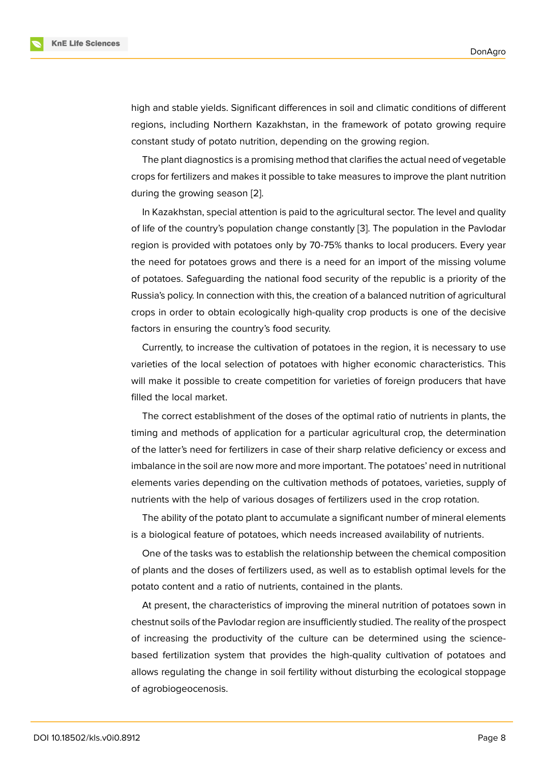high and stable yields. Significant differences in soil and climatic conditions of different regions, including Northern Kazakhstan, in the framework of potato growing require constant study of potato nutrition, depending on the growing region.

The plant diagnostics is a promising method that clarifies the actual need of vegetable crops for fertilizers and makes it possible to take measures to improve the plant nutrition during the growing season [2].

In Kazakhstan, special attention is paid to the agricultural sector. The level and quality of life of the country's population change constantly [3]. The population in the Pavlodar region is provided with pot[ato](#page-6-1)es only by 70-75% thanks to local producers. Every year the need for potatoes grows and there is a need for an import of the missing volume of potatoes. Safeguarding the national food security [o](#page-6-2)f the republic is a priority of the Russia's policy. In connection with this, the creation of a balanced nutrition of agricultural crops in order to obtain ecologically high-quality crop products is one of the decisive factors in ensuring the country's food security.

Currently, to increase the cultivation of potatoes in the region, it is necessary to use varieties of the local selection of potatoes with higher economic characteristics. This will make it possible to create competition for varieties of foreign producers that have filled the local market.

The correct establishment of the doses of the optimal ratio of nutrients in plants, the timing and methods of application for a particular agricultural crop, the determination of the latter's need for fertilizers in case of their sharp relative deficiency or excess and imbalance in the soil are now more and more important. The potatoes' need in nutritional elements varies depending on the cultivation methods of potatoes, varieties, supply of nutrients with the help of various dosages of fertilizers used in the crop rotation.

The ability of the potato plant to accumulate a significant number of mineral elements is a biological feature of potatoes, which needs increased availability of nutrients.

One of the tasks was to establish the relationship between the chemical composition of plants and the doses of fertilizers used, as well as to establish optimal levels for the potato content and a ratio of nutrients, contained in the plants.

At present, the characteristics of improving the mineral nutrition of potatoes sown in chestnut soils of the Pavlodar region are insufficiently studied. The reality of the prospect of increasing the productivity of the culture can be determined using the sciencebased fertilization system that provides the high-quality cultivation of potatoes and allows regulating the change in soil fertility without disturbing the ecological stoppage of agrobiogeocenosis.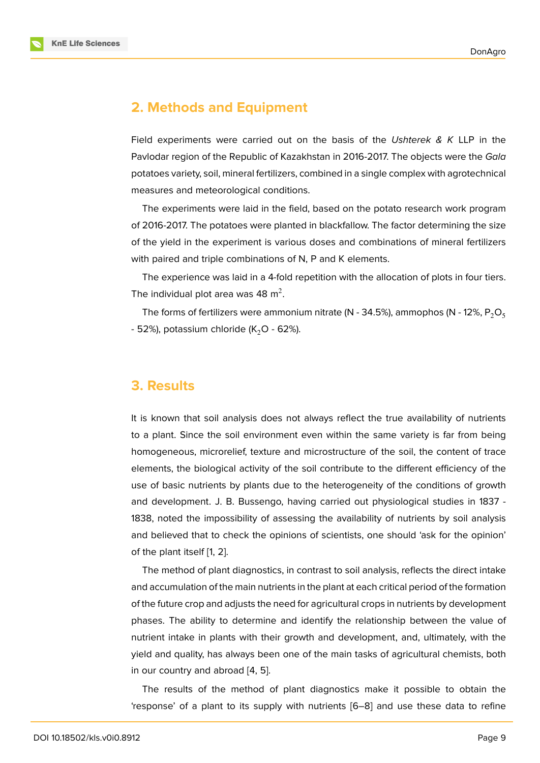### **2. Methods and Equipment**

Field experiments were carried out on the basis of the *Ushterek & K* LLP in the Pavlodar region of the Republic of Kazakhstan in 2016-2017. The objects were the *Gala* potatoes variety, soil, mineral fertilizers, combined in a single complex with agrotechnical measures and meteorological conditions.

The experiments were laid in the field, based on the potato research work program of 2016-2017. The potatoes were planted in blackfallow. The factor determining the size of the yield in the experiment is various doses and combinations of mineral fertilizers with paired and triple combinations of N, P and K elements.

The experience was laid in a 4-fold repetition with the allocation of plots in four tiers. The individual plot area was 48  $\mathrm{m}^{2}.$ 

The forms of fertilizers were ammonium nitrate (N - 34.5%), ammophos (N - 12%,  $P_2O_5$ - 52%), potassium chloride ( $K<sub>2</sub>$ O - 62%).

### **3. Results**

It is known that soil analysis does not always reflect the true availability of nutrients to a plant. Since the soil environment even within the same variety is far from being homogeneous, microrelief, texture and microstructure of the soil, the content of trace elements, the biological activity of the soil contribute to the different efficiency of the use of basic nutrients by plants due to the heterogeneity of the conditions of growth and development. J. B. Bussengo, having carried out physiological studies in 1837 - 1838, noted the impossibility of assessing the availability of nutrients by soil analysis and believed that to check the opinions of scientists, one should 'ask for the opinion' of the plant itself [1, 2].

The method of plant diagnostics, in contrast to soil analysis, reflects the direct intake and accumulation of the main nutrients in the plant at each critical period of the formation of the future crop [an](#page-6-0)[d](#page-6-1) adjusts the need for agricultural crops in nutrients by development phases. The ability to determine and identify the relationship between the value of nutrient intake in plants with their growth and development, and, ultimately, with the yield and quality, has always been one of the main tasks of agricultural chemists, both in our country and abroad [4, 5].

The results of the method of plant diagnostics make it possible to obtain the 'response' of a plant to it[s s](#page-6-3)[up](#page-6-4)ply with nutrients [6–8] and use these data to refine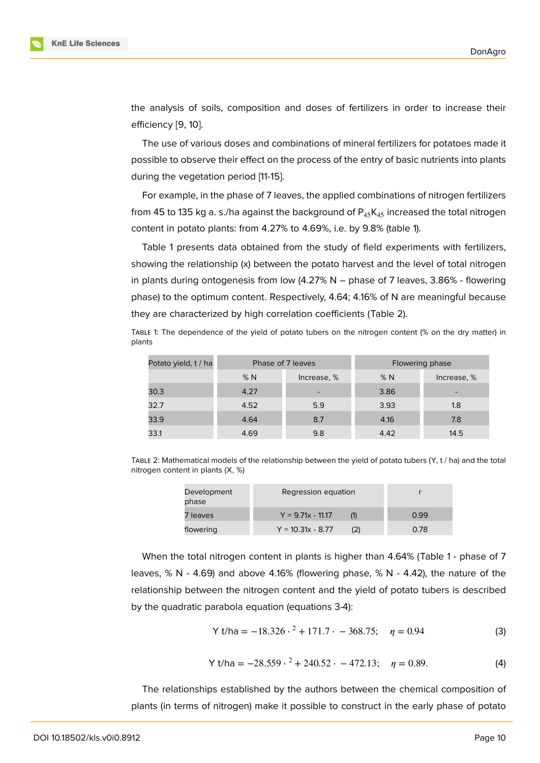the analysis of soils, composition and doses of fertilizers in order to increase their efficiency [9, 10].

The use of various doses and combinations of mineral fertilizers for potatoes made it possible to observe their effect on the process of the entry of basic nutrients into plants during the [ve](#page-7-0)[ge](#page-7-1)tation period [11-15].

For example, in the phase of 7 leaves, the applied combinations of nitrogen fertilizers from 45 to 135 kg a. s./ha against the background of  $P_{45}K_{45}$  increased the total nitrogen content in potato plants: from 4.27% to 4.69%, i.e. by 9.8% (table 1).

Table 1 presents data obtained from the study of field experiments with fertilizers, showing the relationship (x) between the potato harvest and the level of total nitrogen in plants during ontogenesis from low (4.27% N – phase of 7 leaves, 3.86% - flowering phase) to the optimum content. Respectively, 4.64; 4.16% of N are meaningful because they are characterized by high correlation coefficients (Table 2).

| Potato yield, t / ha | Phase of 7 leaves |             | Flowering phase |                          |
|----------------------|-------------------|-------------|-----------------|--------------------------|
|                      | %N                | Increase, % | %N              | Increase, %              |
| 30.3                 | 4.27              |             | 3.86            | $\overline{\phantom{0}}$ |
| 32.7                 | 4.52              | 5.9         | 3.93            | 1.8                      |
| 33.9                 | 4.64              | 8.7         | 4.16            | 7.8                      |
| 33.1                 | 4.69              | 9.8         | 4.42            | 14.5                     |

TABLE 1: The dependence of the yield of potato tubers on the nitrogen content (% on the dry matter) in plants

TABLE 2: Mathematical models of the relationship between the yield of potato tubers (Y, t / ha) and the total nitrogen content in plants (X, %)

| Development<br>phase | Regression equation |      |
|----------------------|---------------------|------|
| 7 leaves             | $Y = 9.71x - 11.17$ | 0.99 |
| flowering            | $Y = 10.31x - 8.77$ | 0.78 |

When the total nitrogen content in plants is higher than 4.64% (Table 1 - phase of 7 leaves, % N - 4.69) and above 4.16% (flowering phase, % N - 4.42), the nature of the relationship between the nitrogen content and the yield of potato tubers is described by the quadratic parabola equation (equations 3-4):

$$
Y t/ha = -18.326 \cdot ^2 + 171.7 \cdot -368.75; \quad \eta = 0.94 \tag{3}
$$

Y t/ha = 
$$
-28.559 \cdot ^2 + 240.52 \cdot -472.13
$$
;  $\eta = 0.89$ . (4)

The relationships established by the authors between the chemical composition of plants (in terms of nitrogen) make it possible to construct in the early phase of potato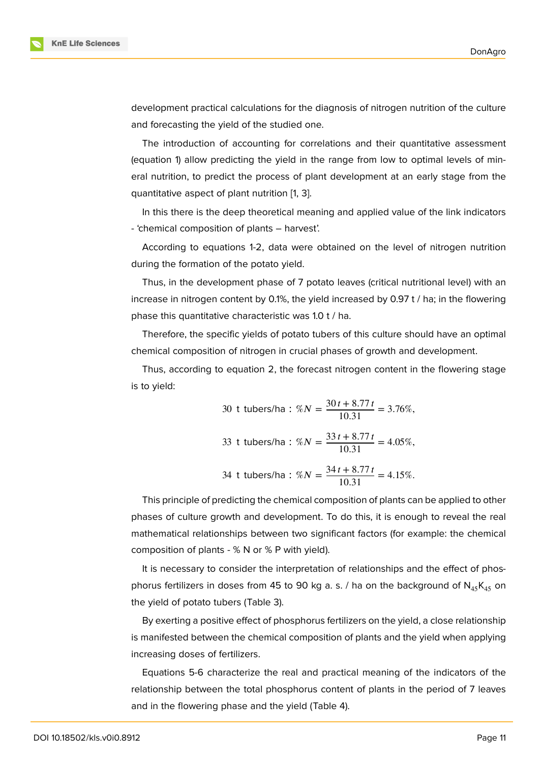development practical calculations for the diagnosis of nitrogen nutrition of the culture and forecasting the yield of the studied one.

The introduction of accounting for correlations and their quantitative assessment (equation 1) allow predicting the yield in the range from low to optimal levels of mineral nutrition, to predict the process of plant development at an early stage from the quantitative aspect of plant nutrition [1, 3].

In this there is the deep theoretical meaning and applied value of the link indicators - 'chemical composition of plants – harvest'.

According to equations 1-2, data [w](#page-6-0)[er](#page-6-2)e obtained on the level of nitrogen nutrition during the formation of the potato yield.

Thus, in the development phase of 7 potato leaves (critical nutritional level) with an increase in nitrogen content by 0.1%, the yield increased by 0.97 t / ha; in the flowering phase this quantitative characteristic was 1.0 t / ha.

Therefore, the specific yields of potato tubers of this culture should have an optimal chemical composition of nitrogen in crucial phases of growth and development.

Thus, according to equation 2, the forecast nitrogen content in the flowering stage is to yield:

30 t tubers/ha : 
$$
\%N = \frac{30t + 8.77t}{10.31} = 3.76\%,
$$
  
33 t tubers/ha :  $\%N = \frac{33t + 8.77t}{10.31} = 4.05\%,$   
34 t tubers/ha :  $\%N = \frac{34t + 8.77t}{10.31} = 4.15\%.$ 

This principle of predicting the chemical composition of plants can be applied to other phases of culture growth and development. To do this, it is enough to reveal the real mathematical relationships between two significant factors (for example: the chemical composition of plants - % N or % P with yield).

It is necessary to consider the interpretation of relationships and the effect of phosphorus fertilizers in doses from 45 to 90 kg a. s. / ha on the background of  $N_{45}K_{45}$  on the yield of potato tubers (Table 3).

By exerting a positive effect of phosphorus fertilizers on the yield, a close relationship is manifested between the chemical composition of plants and the yield when applying increasing doses of fertilizers.

Equations 5-6 characterize the real and practical meaning of the indicators of the relationship between the total phosphorus content of plants in the period of 7 leaves and in the flowering phase and the yield (Table 4).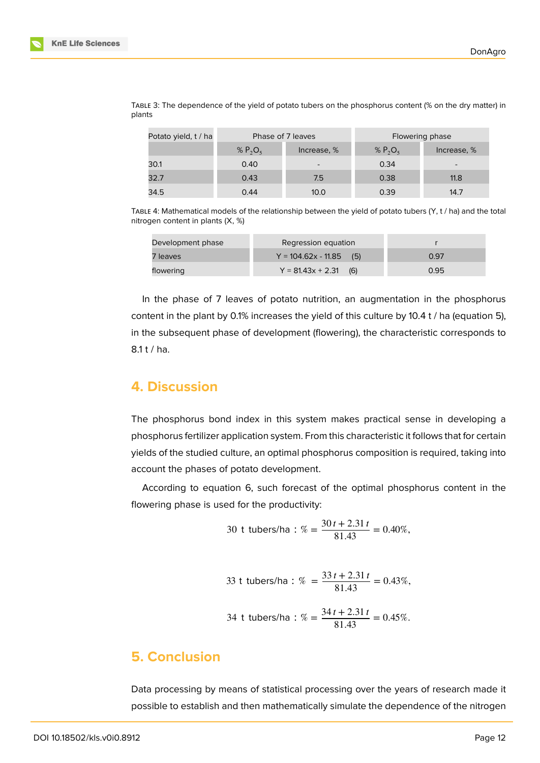| Potato yield, t / ha | Phase of 7 leaves |                          | Flowering phase |                          |
|----------------------|-------------------|--------------------------|-----------------|--------------------------|
|                      | % $P_2O_5$        | Increase, %              | % $P_2O_5$      | Increase, %              |
| 30.1                 | 0.40              | $\overline{\phantom{0}}$ | 0.34            | $\overline{\phantom{0}}$ |
| 32.7                 | 0.43              | 7.5                      | 0.38            | 11.8                     |
| 34.5                 | 0.44              | 10.0                     | 0.39            | 14.7                     |

TABLE 3: The dependence of the yield of potato tubers on the phosphorus content (% on the dry matter) in plants

TABLE 4: Mathematical models of the relationship between the yield of potato tubers (Y, t / ha) and the total nitrogen content in plants (X, %)

| Development phase | Regression equation          |      |
|-------------------|------------------------------|------|
| 7 leaves          | $Y = 104.62x - 11.85$<br>(5) | 0.97 |
| flowering         | $Y = 81.43x + 2.31$<br>(6)   | 0.95 |

In the phase of 7 leaves of potato nutrition, an augmentation in the phosphorus content in the plant by 0.1% increases the yield of this culture by 10.4 t / ha (equation 5), in the subsequent phase of development (flowering), the characteristic corresponds to  $8.1 t / ha.$ 

# **4. Discussion**

The phosphorus bond index in this system makes practical sense in developing a phosphorus fertilizer application system. From this characteristic it follows that for certain yields of the studied culture, an optimal phosphorus composition is required, taking into account the phases of potato development.

According to equation 6, such forecast of the optimal phosphorus content in the flowering phase is used for the productivity:

30 t tubers/ha : 
$$
\% = \frac{30t + 2.31t}{81.43} = 0.40\%
$$
,

33 t tubes/ha : % = 
$$
\frac{33t + 2.31t}{81.43}
$$
 = 0.43%,  
34 t tubes/ha : % =  $\frac{34t + 2.31t}{81.43}$  = 0.45%.

# **5. Conclusion**

Data processing by means of statistical processing over the years of research made it possible to establish and then mathematically simulate the dependence of the nitrogen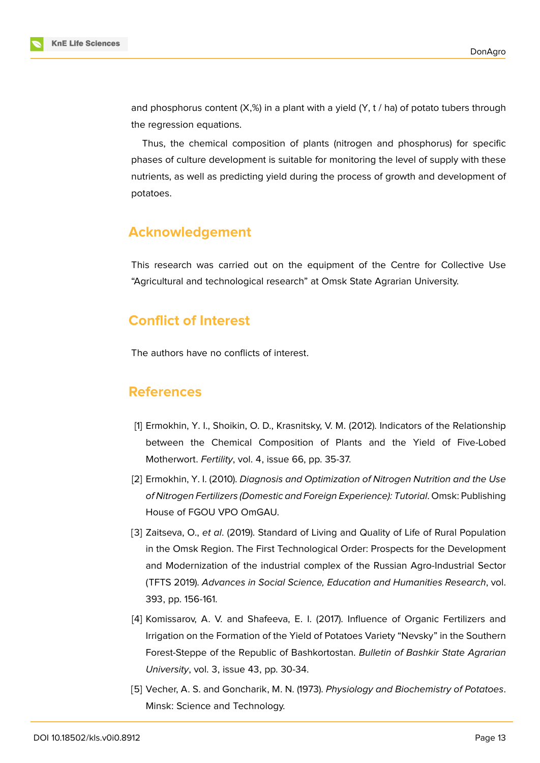and phosphorus content  $(X, \mathcal{C})$  in a plant with a yield  $(Y, t / ha)$  of potato tubers through the regression equations.

Thus, the chemical composition of plants (nitrogen and phosphorus) for specific phases of culture development is suitable for monitoring the level of supply with these nutrients, as well as predicting yield during the process of growth and development of potatoes.

# **Acknowledgement**

This research was carried out on the equipment of the Centre for Collective Use "Agricultural and technological research" at Omsk State Agrarian University.

# **Conflict of Interest**

The authors have no conflicts of interest.

### **References**

- <span id="page-6-0"></span>[1] Ermokhin, Y. I., Shoikin, O. D., Krasnitsky, V. M. (2012). Indicators of the Relationship between the Chemical Composition of Plants and the Yield of Five-Lobed Motherwort. *Fertility*, vol. 4, issue 66, pp. 35-37.
- <span id="page-6-1"></span>[2] Ermokhin, Y. I. (2010). *Diagnosis and Optimization of Nitrogen Nutrition and the Use of Nitrogen Fertilizers (Domestic and Foreign Experience): Tutorial*. Omsk: Publishing House of FGOU VPO OmGAU.
- <span id="page-6-2"></span>[3] Zaitseva, O., *et al*. (2019). Standard of Living and Quality of Life of Rural Population in the Omsk Region. The First Technological Order: Prospects for the Development and Modernization of the industrial complex of the Russian Agro-Industrial Sector (TFTS 2019). *Advances in Social Science, Education and Humanities Research*, vol. 393, pp. 156-161.
- <span id="page-6-3"></span>[4] Komissarov, A. V. and Shafeeva, E. I. (2017). Influence of Organic Fertilizers and Irrigation on the Formation of the Yield of Potatoes Variety "Nevsky" in the Southern Forest-Steppe of the Republic of Bashkortostan. *Bulletin of Bashkir State Agrarian University*, vol. 3, issue 43, pp. 30-34.
- <span id="page-6-4"></span>[5] Vecher, A. S. and Goncharik, M. N. (1973). *Physiology and Biochemistry of Potatoes*. Minsk: Science and Technology.